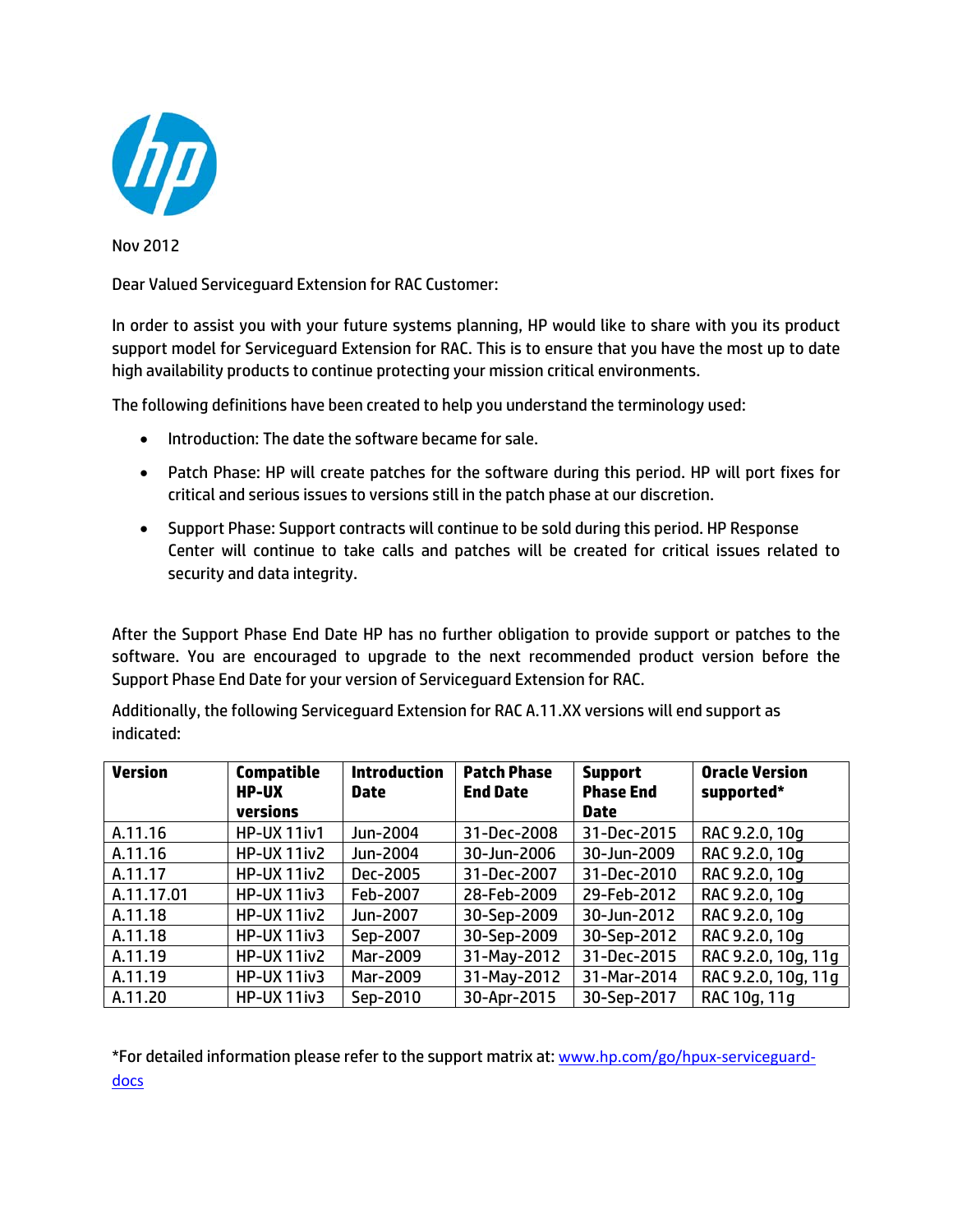

Nov 2012

Dear Valued Serviceguard Extension for RAC Customer:

In order to assist you with your future systems planning, HP would like to share with you its product support model for Serviceguard Extension for RAC. This is to ensure that you have the most up to date high availability products to continue protecting your mission critical environments.

The following definitions have been created to help you understand the terminology used:

- Introduction: The date the software became for sale.
- Patch Phase: HP will create patches for the software during this period. HP will port fixes for critical and serious issues to versions still in the patch phase at our discretion.
- Support Phase: Support contracts will continue to be sold during this period. HP Response Center will continue to take calls and patches will be created for critical issues related to security and data integrity.

After the Support Phase End Date HP has no further obligation to provide support or patches to the software. You are encouraged to upgrade to the next recommended product version before the Support Phase End Date for your version of Serviceguard Extension for RAC.

Additionally, the following Serviceguard Extension for RAC A.11.XX versions will end support as indicated:

| <b>Version</b> | <b>Compatible</b><br><b>HP-UX</b><br>versions | <b>Introduction</b><br><b>Date</b> | <b>Patch Phase</b><br><b>End Date</b> | <b>Support</b><br><b>Phase End</b><br><b>Date</b> | <b>Oracle Version</b><br>supported* |
|----------------|-----------------------------------------------|------------------------------------|---------------------------------------|---------------------------------------------------|-------------------------------------|
| A.11.16        | <b>HP-UX 11iv1</b>                            | Jun-2004                           | 31-Dec-2008                           | 31-Dec-2015                                       | RAC 9.2.0, 10q                      |
| A.11.16        | HP-UX 11iv2                                   | Jun-2004                           | 30-Jun-2006                           | 30-Jun-2009                                       | RAC 9.2.0, 10q                      |
| A.11.17        | HP-UX 11iv2                                   | Dec-2005                           | 31-Dec-2007                           | 31-Dec-2010                                       | RAC 9.2.0, 10g                      |
| A.11.17.01     | HP-UX 11iv3                                   | Feb-2007                           | 28-Feb-2009                           | 29-Feb-2012                                       | RAC 9.2.0, 10q                      |
| A.11.18        | HP-UX 11iv2                                   | Jun-2007                           | 30-Sep-2009                           | 30-Jun-2012                                       | RAC 9.2.0, 10q                      |
| A.11.18        | <b>HP-UX 11iv3</b>                            | Sep-2007                           | 30-Sep-2009                           | 30-Sep-2012                                       | RAC 9.2.0, 10g                      |
| A.11.19        | HP-UX 11iv2                                   | Mar-2009                           | 31-May-2012                           | 31-Dec-2015                                       | RAC 9.2.0, 10g, 11g                 |
| A.11.19        | <b>HP-UX 11iv3</b>                            | Mar-2009                           | 31-May-2012                           | 31-Mar-2014                                       | RAC 9.2.0, 10g, 11g                 |
| A.11.20        | <b>HP-UX 11iv3</b>                            | Sep-2010                           | 30-Apr-2015                           | 30-Sep-2017                                       | RAC 10g, 11g                        |

\*For detailed information please refer to the support matrix at: www.hp.com/go/hpux-serviceguarddocs